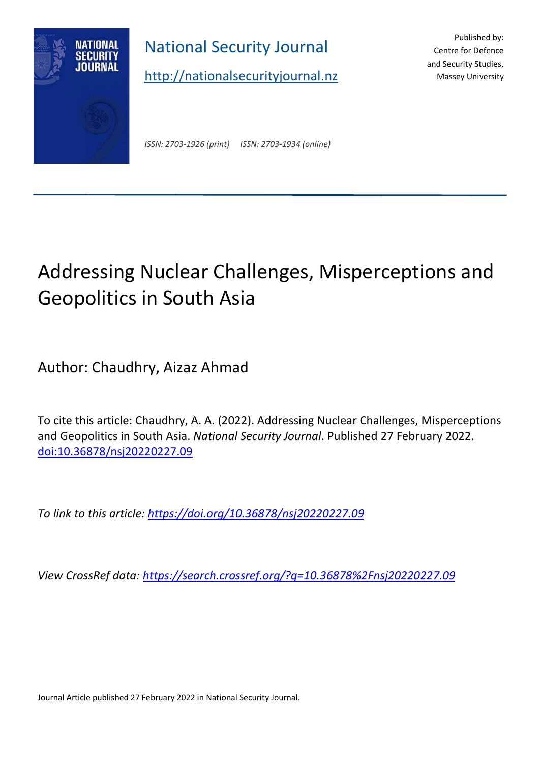

National Security Journal

[http://nationalsecurityjournal.nz](http://nationalsecurityjournal.nz/)

Published by: Centre for Defence and Security Studies, Massey University

*ISSN: 2703-1926 (print) ISSN: 2703-1934 (online)*

# Addressing Nuclear Challenges, Misperceptions and Geopolitics in South Asia

Author: Chaudhry, Aizaz Ahmad

To cite this article: Chaudhry, A. A. (2022). Addressing Nuclear Challenges, Misperceptions and Geopolitics in South Asia. *National Security Journal*. Published 27 February 2022. [doi:10.36878/nsj20220227.09](https://doi.org/10.36878/nsj20220227.09)

*To link to this article:<https://doi.org/10.36878/nsj20220227.09>*

*View CrossRef data:<https://search.crossref.org/?q=10.36878%2Fnsj20220227.09>*

Journal Article published 27 February 2022 in National Security Journal.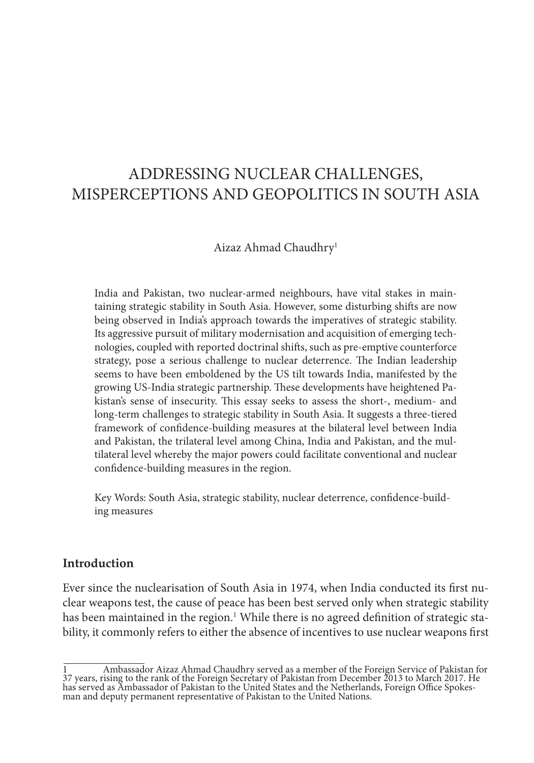## ADDRESSING NUCLEAR CHALLENGES, MISPERCEPTIONS AND GEOPOLITICS IN SOUTH ASIA

#### Aizaz Ahmad Chaudhry1

India and Pakistan, two nuclear-armed neighbours, have vital stakes in maintaining strategic stability in South Asia. However, some disturbing shifts are now being observed in India's approach towards the imperatives of strategic stability. Its aggressive pursuit of military modernisation and acquisition of emerging technologies, coupled with reported doctrinal shifts, such as pre-emptive counterforce strategy, pose a serious challenge to nuclear deterrence. The Indian leadership seems to have been emboldened by the US tilt towards India, manifested by the growing US-India strategic partnership. These developments have heightened Pakistan's sense of insecurity. This essay seeks to assess the short-, medium- and long-term challenges to strategic stability in South Asia. It suggests a three-tiered framework of confidence-building measures at the bilateral level between India and Pakistan, the trilateral level among China, India and Pakistan, and the multilateral level whereby the major powers could facilitate conventional and nuclear confidence-building measures in the region.

Key Words: South Asia, strategic stability, nuclear deterrence, confidence-building measures

#### **Introduction**

Ever since the nuclearisation of South Asia in 1974, when India conducted its first nuclear weapons test, the cause of peace has been best served only when strategic stability has been maintained in the region.<sup>1</sup> While there is no agreed definition of strategic stability, it commonly refers to either the absence of incentives to use nuclear weapons first

<sup>1</sup> Ambassador Aizaz Ahmad Chaudhry served as a member of the Foreign Service of Pakistan for 37 years, rising to the rank of the Foreign Secretary of Pakistan from December 2013 to March 2017. He has served as Ambassador of Pakistan to the United States and the Netherlands, Foreign Office Spokes-<br>man and deputy permanent representative of Pakistan to the United Nations.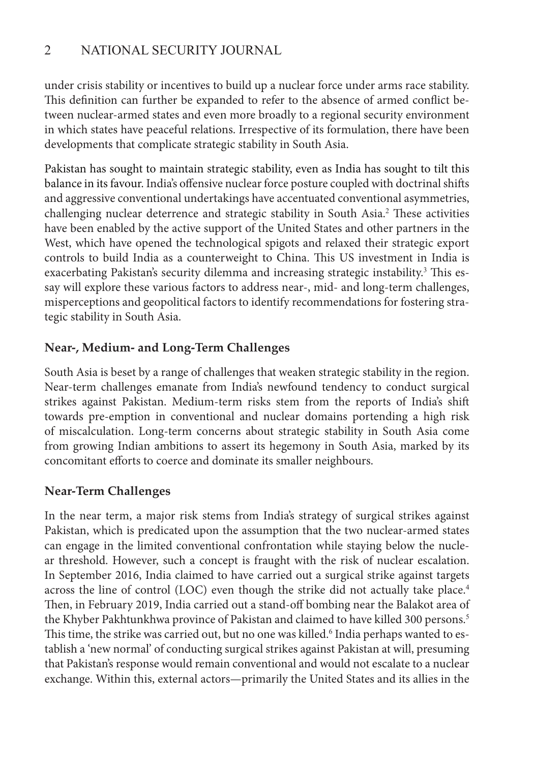under crisis stability or incentives to build up a nuclear force under arms race stability. This definition can further be expanded to refer to the absence of armed conflict between nuclear-armed states and even more broadly to a regional security environment in which states have peaceful relations. Irrespective of its formulation, there have been developments that complicate strategic stability in South Asia.

Pakistan has sought to maintain strategic stability, even as India has sought to tilt this balance in its favour. India's offensive nuclear force posture coupled with doctrinal shifts and aggressive conventional undertakings have accentuated conventional asymmetries, challenging nuclear deterrence and strategic stability in South Asia.<sup>2</sup> These activities have been enabled by the active support of the United States and other partners in the West, which have opened the technological spigots and relaxed their strategic export controls to build India as a counterweight to China. This US investment in India is exacerbating Pakistan's security dilemma and increasing strategic instability.<sup>3</sup> This essay will explore these various factors to address near-, mid- and long-term challenges, misperceptions and geopolitical factors to identify recommendations for fostering strategic stability in South Asia.

## **Near-, Medium- and Long-Term Challenges**

South Asia is beset by a range of challenges that weaken strategic stability in the region. Near-term challenges emanate from India's newfound tendency to conduct surgical strikes against Pakistan. Medium-term risks stem from the reports of India's shift towards pre-emption in conventional and nuclear domains portending a high risk of miscalculation. Long-term concerns about strategic stability in South Asia come from growing Indian ambitions to assert its hegemony in South Asia, marked by its concomitant efforts to coerce and dominate its smaller neighbours.

## **Near-Term Challenges**

In the near term, a major risk stems from India's strategy of surgical strikes against Pakistan, which is predicated upon the assumption that the two nuclear-armed states can engage in the limited conventional confrontation while staying below the nuclear threshold. However, such a concept is fraught with the risk of nuclear escalation. In September 2016, India claimed to have carried out a surgical strike against targets across the line of control (LOC) even though the strike did not actually take place.<sup>4</sup> Then, in February 2019, India carried out a stand-off bombing near the Balakot area of the Khyber Pakhtunkhwa province of Pakistan and claimed to have killed 300 persons.<sup>5</sup> This time, the strike was carried out, but no one was killed.<sup>6</sup> India perhaps wanted to establish a 'new normal' of conducting surgical strikes against Pakistan at will, presuming that Pakistan's response would remain conventional and would not escalate to a nuclear exchange. Within this, external actors—primarily the United States and its allies in the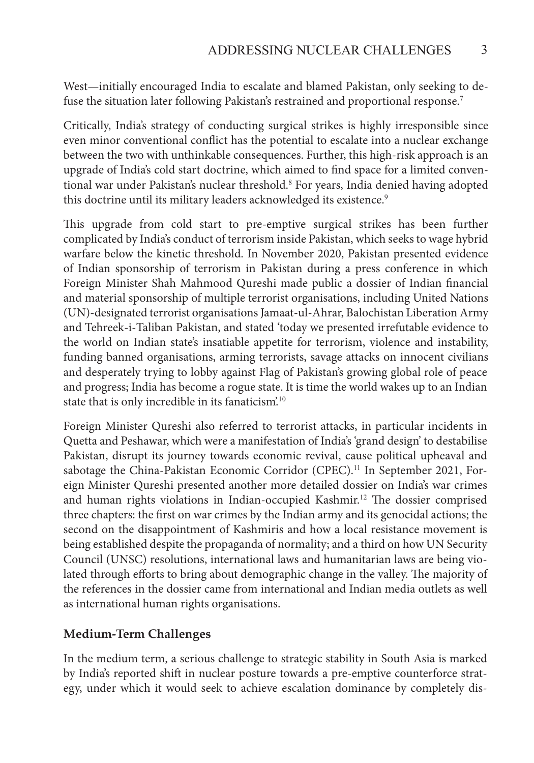West—initially encouraged India to escalate and blamed Pakistan, only seeking to defuse the situation later following Pakistan's restrained and proportional response.<sup>7</sup>

Critically, India's strategy of conducting surgical strikes is highly irresponsible since even minor conventional conflict has the potential to escalate into a nuclear exchange between the two with unthinkable consequences. Further, this high-risk approach is an upgrade of India's cold start doctrine, which aimed to find space for a limited conventional war under Pakistan's nuclear threshold.<sup>8</sup> For years, India denied having adopted this doctrine until its military leaders acknowledged its existence.<sup>9</sup>

This upgrade from cold start to pre-emptive surgical strikes has been further complicated by India's conduct of terrorism inside Pakistan, which seeks to wage hybrid warfare below the kinetic threshold. In November 2020, Pakistan presented evidence of Indian sponsorship of terrorism in Pakistan during a press conference in which Foreign Minister Shah Mahmood Qureshi made public a dossier of Indian financial and material sponsorship of multiple terrorist organisations, including United Nations (UN)-designated terrorist organisations Jamaat-ul-Ahrar, Balochistan Liberation Army and Tehreek-i-Taliban Pakistan, and stated 'today we presented irrefutable evidence to the world on Indian state's insatiable appetite for terrorism, violence and instability, funding banned organisations, arming terrorists, savage attacks on innocent civilians and desperately trying to lobby against Flag of Pakistan's growing global role of peace and progress; India has become a rogue state. It is time the world wakes up to an Indian state that is only incredible in its fanaticism.<sup>10</sup>

Foreign Minister Qureshi also referred to terrorist attacks, in particular incidents in Quetta and Peshawar, which were a manifestation of India's 'grand design' to destabilise Pakistan, disrupt its journey towards economic revival, cause political upheaval and sabotage the China-Pakistan Economic Corridor (CPEC).<sup>11</sup> In September 2021, Foreign Minister Qureshi presented another more detailed dossier on India's war crimes and human rights violations in Indian-occupied Kashmir.<sup>12</sup> The dossier comprised three chapters: the first on war crimes by the Indian army and its genocidal actions; the second on the disappointment of Kashmiris and how a local resistance movement is being established despite the propaganda of normality; and a third on how UN Security Council (UNSC) resolutions, international laws and humanitarian laws are being violated through efforts to bring about demographic change in the valley. The majority of the references in the dossier came from international and Indian media outlets as well as international human rights organisations.

#### **Medium-Term Challenges**

In the medium term, a serious challenge to strategic stability in South Asia is marked by India's reported shift in nuclear posture towards a pre-emptive counterforce strategy, under which it would seek to achieve escalation dominance by completely dis-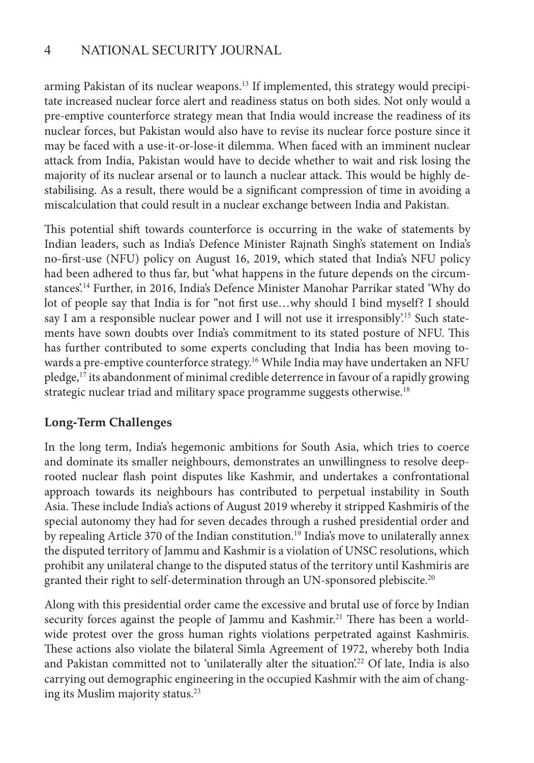arming Pakistan of its nuclear weapons.<sup>13</sup> If implemented, this strategy would precipitate increased nuclear force alert and readiness status on both sides. Not only would a pre-emptive counterforce strategy mean that India would increase the readiness of its nuclear forces, but Pakistan would also have to revise its nuclear force posture since it may be faced with a use-it-or-lose-it dilemma. When faced with an imminent nuclear attack from India, Pakistan would have to decide whether to wait and risk losing the majority of its nuclear arsenal or to launch a nuclear attack. This would be highly destabilising. As a result, there would be a significant compression of time in avoiding a miscalculation that could result in a nuclear exchange between India and Pakistan.

This potential shift towards counterforce is occurring in the wake of statements by Indian leaders, such as India's Defence Minister Rajnath Singh's statement on India's no-first-use (NFU) policy on August 16, 2019, which stated that India's NFU policy had been adhered to thus far, but 'what happens in the future depends on the circumstances'.<sup>14</sup> Further, in 2016, India's Defence Minister Manohar Parrikar stated 'Why do lot of people say that India is for "not first use…why should I bind myself? I should say I am a responsible nuclear power and I will not use it irresponsibly.<sup>15</sup> Such statements have sown doubts over India's commitment to its stated posture of NFU. This has further contributed to some experts concluding that India has been moving towards a pre-emptive counterforce strategy.<sup>16</sup> While India may have undertaken an NFU pledge,<sup>17</sup> its abandonment of minimal credible deterrence in favour of a rapidly growing strategic nuclear triad and military space programme suggests otherwise.<sup>18</sup>

## **Long-Term Challenges**

In the long term, India's hegemonic ambitions for South Asia, which tries to coerce and dominate its smaller neighbours, demonstrates an unwillingness to resolve deeprooted nuclear flash point disputes like Kashmir, and undertakes a confrontational approach towards its neighbours has contributed to perpetual instability in South Asia. These include India's actions of August 2019 whereby it stripped Kashmiris of the special autonomy they had for seven decades through a rushed presidential order and by repealing Article 370 of the Indian constitution.<sup>19</sup> India's move to unilaterally annex the disputed territory of Jammu and Kashmir is a violation of UNSC resolutions, which prohibit any unilateral change to the disputed status of the territory until Kashmiris are granted their right to self-determination through an UN-sponsored plebiscite.<sup>20</sup>

Along with this presidential order came the excessive and brutal use of force by Indian security forces against the people of Jammu and Kashmir.<sup>21</sup> There has been a worldwide protest over the gross human rights violations perpetrated against Kashmiris. These actions also violate the bilateral Simla Agreement of 1972, whereby both India and Pakistan committed not to 'unilaterally alter the situation'.<sup>22</sup> Of late, India is also carrying out demographic engineering in the occupied Kashmir with the aim of changing its Muslim majority status.<sup>23</sup>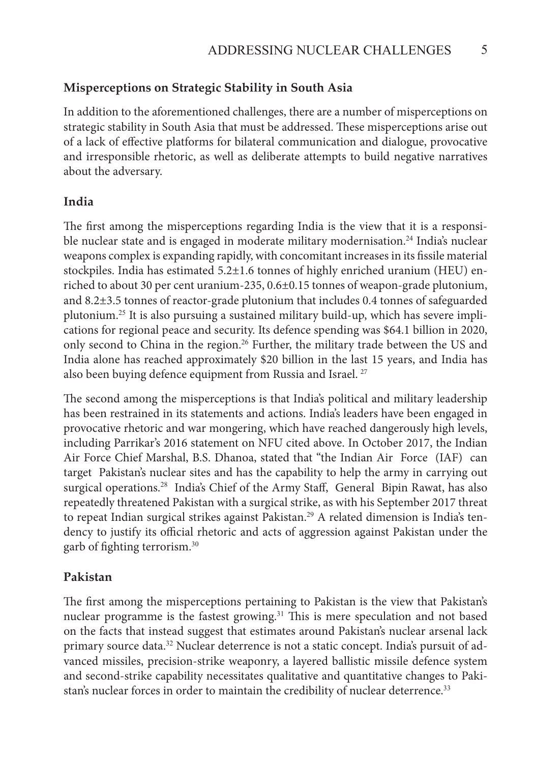#### **Misperceptions on Strategic Stability in South Asia**

In addition to the aforementioned challenges, there are a number of misperceptions on strategic stability in South Asia that must be addressed. These misperceptions arise out of a lack of effective platforms for bilateral communication and dialogue, provocative and irresponsible rhetoric, as well as deliberate attempts to build negative narratives about the adversary.

#### **India**

The first among the misperceptions regarding India is the view that it is a responsible nuclear state and is engaged in moderate military modernisation.<sup>24</sup> India's nuclear weapons complex is expanding rapidly, with concomitant increases in its fissile material stockpiles. India has estimated 5.2±1.6 tonnes of highly enriched uranium (HEU) enriched to about 30 per cent uranium-235, 0.6±0.15 tonnes of weapon-grade plutonium, and 8.2±3.5 tonnes of reactor-grade plutonium that includes 0.4 tonnes of safeguarded plutonium.25 It is also pursuing a sustained military build-up, which has severe implications for regional peace and security. Its defence spending was \$64.1 billion in 2020, only second to China in the region.<sup>26</sup> Further, the military trade between the US and India alone has reached approximately \$20 billion in the last 15 years, and India has also been buying defence equipment from Russia and Israel.<sup>27</sup>

The second among the misperceptions is that India's political and military leadership has been restrained in its statements and actions. India's leaders have been engaged in provocative rhetoric and war mongering, which have reached dangerously high levels, including Parrikar's 2016 statement on NFU cited above. In October 2017, the Indian Air Force Chief Marshal, B.S. Dhanoa, stated that "the Indian Air Force (IAF) can target Pakistan's nuclear sites and has the capability to help the army in carrying out surgical operations.<sup>28</sup> India's Chief of the Army Staff, General Bipin Rawat, has also repeatedly threatened Pakistan with a surgical strike, as with his September 2017 threat to repeat Indian surgical strikes against Pakistan.<sup>29</sup> A related dimension is India's tendency to justify its official rhetoric and acts of aggression against Pakistan under the garb of fighting terrorism.<sup>30</sup>

#### **Pakistan**

The first among the misperceptions pertaining to Pakistan is the view that Pakistan's nuclear programme is the fastest growing.<sup>31</sup> This is mere speculation and not based on the facts that instead suggest that estimates around Pakistan's nuclear arsenal lack primary source data.32 Nuclear deterrence is not a static concept. India's pursuit of advanced missiles, precision-strike weaponry, a layered ballistic missile defence system and second-strike capability necessitates qualitative and quantitative changes to Pakistan's nuclear forces in order to maintain the credibility of nuclear deterrence.<sup>33</sup>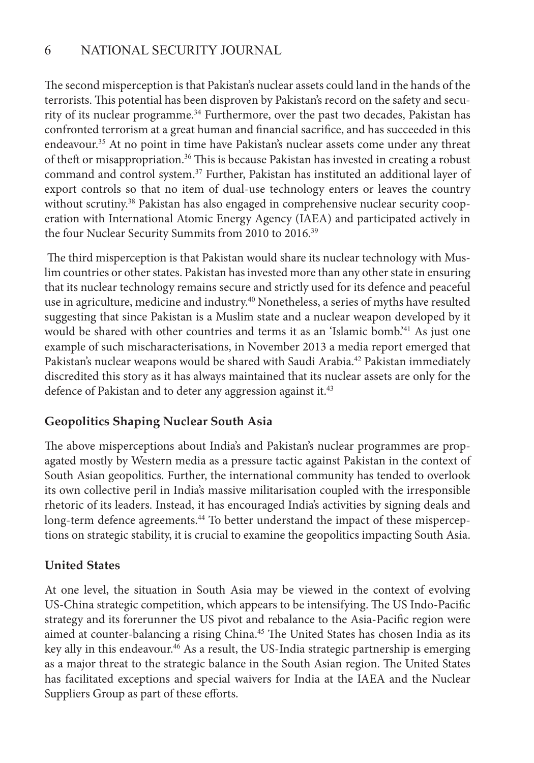The second misperception is that Pakistan's nuclear assets could land in the hands of the terrorists. This potential has been disproven by Pakistan's record on the safety and security of its nuclear programme.<sup>34</sup> Furthermore, over the past two decades, Pakistan has confronted terrorism at a great human and financial sacrifice, and has succeeded in this endeavour.<sup>35</sup> At no point in time have Pakistan's nuclear assets come under any threat of theft or misappropriation.<sup>36</sup> This is because Pakistan has invested in creating a robust command and control system.<sup>37</sup> Further, Pakistan has instituted an additional layer of export controls so that no item of dual-use technology enters or leaves the country without scrutiny.<sup>38</sup> Pakistan has also engaged in comprehensive nuclear security cooperation with International Atomic Energy Agency (IAEA) and participated actively in the four Nuclear Security Summits from 2010 to 2016.<sup>39</sup>

 The third misperception is that Pakistan would share its nuclear technology with Muslim countries or other states. Pakistan has invested more than any other state in ensuring that its nuclear technology remains secure and strictly used for its defence and peaceful use in agriculture, medicine and industry.<sup>40</sup> Nonetheless, a series of myths have resulted suggesting that since Pakistan is a Muslim state and a nuclear weapon developed by it would be shared with other countries and terms it as an 'Islamic bomb.<sup>241</sup> As just one example of such mischaracterisations, in November 2013 a media report emerged that Pakistan's nuclear weapons would be shared with Saudi Arabia.<sup>42</sup> Pakistan immediately discredited this story as it has always maintained that its nuclear assets are only for the defence of Pakistan and to deter any aggression against it.<sup>43</sup>

## **Geopolitics Shaping Nuclear South Asia**

The above misperceptions about India's and Pakistan's nuclear programmes are propagated mostly by Western media as a pressure tactic against Pakistan in the context of South Asian geopolitics. Further, the international community has tended to overlook its own collective peril in India's massive militarisation coupled with the irresponsible rhetoric of its leaders. Instead, it has encouraged India's activities by signing deals and long-term defence agreements.<sup>44</sup> To better understand the impact of these misperceptions on strategic stability, it is crucial to examine the geopolitics impacting South Asia.

## **United States**

At one level, the situation in South Asia may be viewed in the context of evolving US-China strategic competition, which appears to be intensifying. The US Indo-Pacific strategy and its forerunner the US pivot and rebalance to the Asia-Pacific region were aimed at counter-balancing a rising China.<sup>45</sup> The United States has chosen India as its key ally in this endeavour.<sup>46</sup> As a result, the US-India strategic partnership is emerging as a major threat to the strategic balance in the South Asian region. The United States has facilitated exceptions and special waivers for India at the IAEA and the Nuclear Suppliers Group as part of these efforts.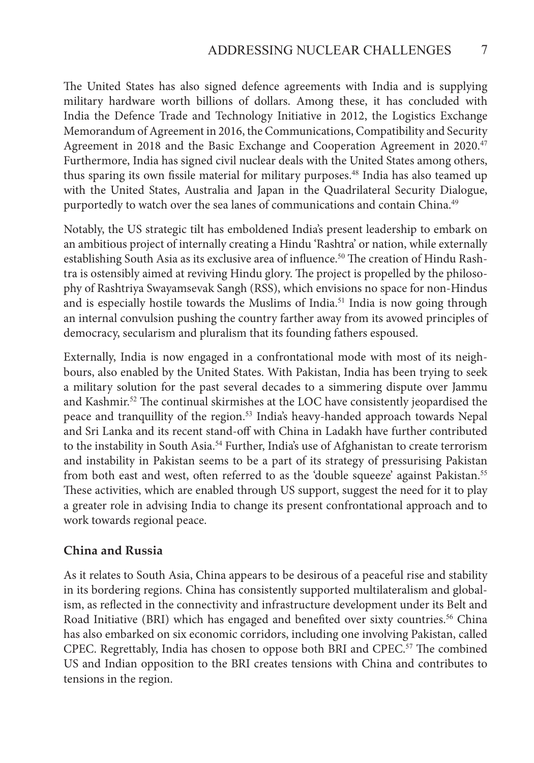The United States has also signed defence agreements with India and is supplying military hardware worth billions of dollars. Among these, it has concluded with India the Defence Trade and Technology Initiative in 2012, the Logistics Exchange Memorandum of Agreement in 2016, the Communications, Compatibility and Security Agreement in 2018 and the Basic Exchange and Cooperation Agreement in 2020.<sup>47</sup> Furthermore, India has signed civil nuclear deals with the United States among others, thus sparing its own fissile material for military purposes.<sup>48</sup> India has also teamed up with the United States, Australia and Japan in the Quadrilateral Security Dialogue, purportedly to watch over the sea lanes of communications and contain China.<sup>49</sup>

Notably, the US strategic tilt has emboldened India's present leadership to embark on an ambitious project of internally creating a Hindu 'Rashtra' or nation, while externally establishing South Asia as its exclusive area of influence.<sup>50</sup> The creation of Hindu Rashtra is ostensibly aimed at reviving Hindu glory. The project is propelled by the philosophy of Rashtriya Swayamsevak Sangh (RSS), which envisions no space for non-Hindus and is especially hostile towards the Muslims of India.<sup>51</sup> India is now going through an internal convulsion pushing the country farther away from its avowed principles of democracy, secularism and pluralism that its founding fathers espoused.

Externally, India is now engaged in a confrontational mode with most of its neighbours, also enabled by the United States. With Pakistan, India has been trying to seek a military solution for the past several decades to a simmering dispute over Jammu and Kashmir.<sup>52</sup> The continual skirmishes at the LOC have consistently jeopardised the peace and tranquillity of the region.<sup>53</sup> India's heavy-handed approach towards Nepal and Sri Lanka and its recent stand-off with China in Ladakh have further contributed to the instability in South Asia.<sup>54</sup> Further, India's use of Afghanistan to create terrorism and instability in Pakistan seems to be a part of its strategy of pressurising Pakistan from both east and west, often referred to as the 'double squeeze' against Pakistan.<sup>55</sup> These activities, which are enabled through US support, suggest the need for it to play a greater role in advising India to change its present confrontational approach and to work towards regional peace.

#### **China and Russia**

As it relates to South Asia, China appears to be desirous of a peaceful rise and stability in its bordering regions. China has consistently supported multilateralism and globalism, as reflected in the connectivity and infrastructure development under its Belt and Road Initiative (BRI) which has engaged and benefited over sixty countries.<sup>56</sup> China has also embarked on six economic corridors, including one involving Pakistan, called CPEC. Regrettably, India has chosen to oppose both BRI and  $\text{CPEC.}^{57}$  The combined US and Indian opposition to the BRI creates tensions with China and contributes to tensions in the region.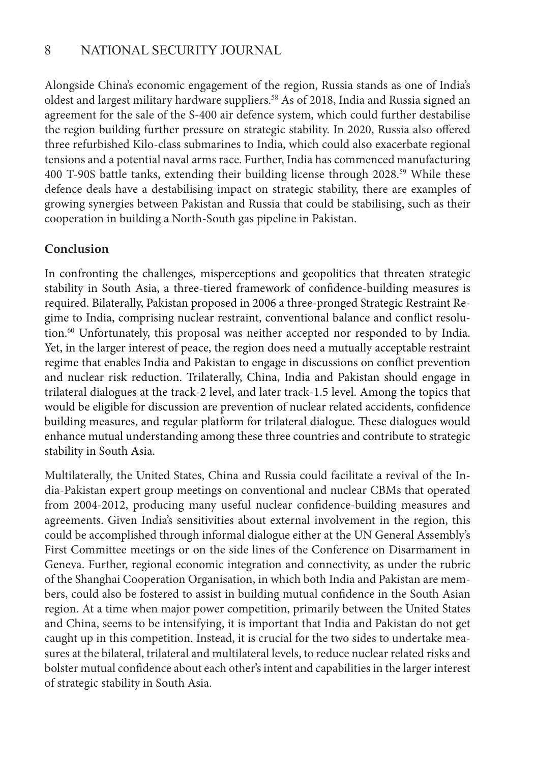Alongside China's economic engagement of the region, Russia stands as one of India's oldest and largest military hardware suppliers.<sup>58</sup> As of 2018, India and Russia signed an agreement for the sale of the S-400 air defence system, which could further destabilise the region building further pressure on strategic stability. In 2020, Russia also offered three refurbished Kilo-class submarines to India, which could also exacerbate regional tensions and a potential naval arms race. Further, India has commenced manufacturing 400 T-90S battle tanks, extending their building license through 2028.<sup>59</sup> While these defence deals have a destabilising impact on strategic stability, there are examples of growing synergies between Pakistan and Russia that could be stabilising, such as their cooperation in building a North-South gas pipeline in Pakistan.

## **Conclusion**

In confronting the challenges, misperceptions and geopolitics that threaten strategic stability in South Asia, a three-tiered framework of confidence-building measures is required. Bilaterally, Pakistan proposed in 2006 a three-pronged Strategic Restraint Regime to India, comprising nuclear restraint, conventional balance and conflict resolution.<sup>60</sup> Unfortunately, this proposal was neither accepted nor responded to by India. Yet, in the larger interest of peace, the region does need a mutually acceptable restraint regime that enables India and Pakistan to engage in discussions on conflict prevention and nuclear risk reduction. Trilaterally, China, India and Pakistan should engage in trilateral dialogues at the track-2 level, and later track-1.5 level. Among the topics that would be eligible for discussion are prevention of nuclear related accidents, confidence building measures, and regular platform for trilateral dialogue. These dialogues would enhance mutual understanding among these three countries and contribute to strategic stability in South Asia.

Multilaterally, the United States, China and Russia could facilitate a revival of the India-Pakistan expert group meetings on conventional and nuclear CBMs that operated from 2004-2012, producing many useful nuclear confidence-building measures and agreements. Given India's sensitivities about external involvement in the region, this could be accomplished through informal dialogue either at the UN General Assembly's First Committee meetings or on the side lines of the Conference on Disarmament in Geneva. Further, regional economic integration and connectivity, as under the rubric of the Shanghai Cooperation Organisation, in which both India and Pakistan are members, could also be fostered to assist in building mutual confidence in the South Asian region. At a time when major power competition, primarily between the United States and China, seems to be intensifying, it is important that India and Pakistan do not get caught up in this competition. Instead, it is crucial for the two sides to undertake measures at the bilateral, trilateral and multilateral levels, to reduce nuclear related risks and bolster mutual confidence about each other's intent and capabilities in the larger interest of strategic stability in South Asia.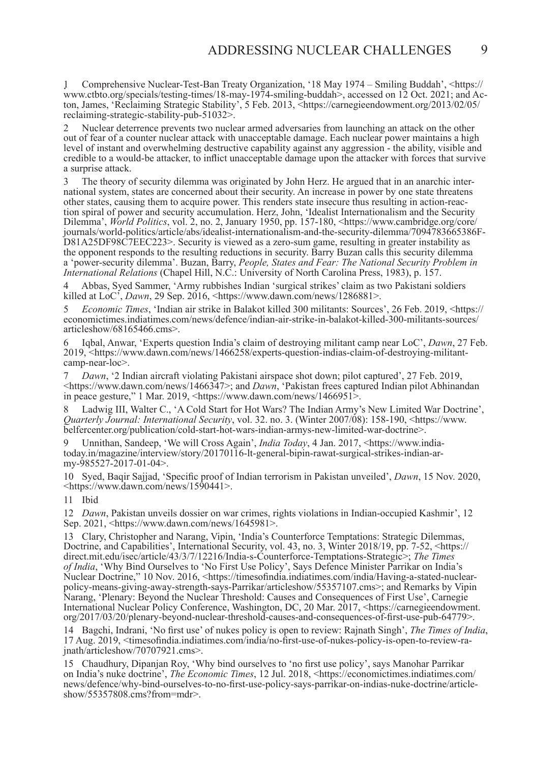www.ctbto.org/specials/testing-times/18-may-1974-smiling-buddah>. accessed on 12 Oct. 2021: and Ac-1 Comprehensive Nuclear-Test-Ban Treaty Organization, '18 May 1974 – Smiling Buddah', <https:// ton, James, 'Reclaiming Strategic Stability', 5 Feb. 2013, <https://carnegieendowment.org/2013/02/05/ reclaiming-strategic-stability-pub-51032>.

2 Nuclear deterrence prevents two nuclear armed adversaries from launching an attack on the other out of fear of a counter nuclear attack with unacceptable damage. Each nuclear power maintains a high level of instant and overwhelming destructive capability against any aggression - the ability, visible and credible to a would-be attacker, to inflict unacceptable damage upon the attacker with forces that survive a surprise attack.

 $\overline{\mathbf{z}}$  journals/world-politics/article/abs/idealist-internationalism-and-the-security-dilemma/7094783665386F-3 The theory of security dilemma was originated by John Herz. He argued that in an anarchic international system, states are concerned about their security. An increase in power by one state threatens other states, causing them to acquire power. This renders state insecure thus resulting in action-reaction spiral of power and security accumulation. Herz, John, 'Idealist Internationalism and the Security Dilemma', *World Politics*, vol. 2, no. 2, January 1950, pp. 157-180, <https://www.cambridge.org/core/ D81A25DF98C7EEC223>. Security is viewed as a zero-sum game, resulting in greater instability as the opponent responds to the resulting reductions in security. Barry Buzan calls this security dilemma a 'power-security dilemma'. Buzan, Barry, *People, States and Fear: The National Security Problem in International Relations* (Chapel Hill, N.C.: University of North Carolina Press, 1983), p. 157.

 $\overline{a}$ 4 Abbas, Syed Sammer, 'Army rubbishes Indian 'surgical strikes' claim as two Pakistani soldiers killed at LoC', *Dawn*, 29 Sep. 2016, <https://www.dawn.com/news/1286881>.

5 *Economic Times*, 'Indian air strike in Balakot killed 300 militants: Sources', 26 Feb. 2019, <https:// economictimes.indiatimes.com/news/defence/indian-air-strike-in-balakot-killed-300-militants-sources/ articleshow/68165466.cms>.

6 Iqbal, Anwar, 'Experts question India's claim of destroying militant camp near LoC', *Dawn*, 27 Feb. 2019, <https://www.dawn.com/news/1466258/experts-question-indias-claim-of-destroying-militantcamp-near-loc>.

7 *Dawn*, '2 Indian aircraft violating Pakistani airspace shot down; pilot captured', 27 Feb. 2019, <https://www.dawn.com/news/1466347>; and *Dawn*, 'Pakistan frees captured Indian pilot Abhinandan in peace gesture," 1 Mar. 2019,  $\langle$ https://www.dawn.com/news/1466951>.

8 Ladwig III, Walter C., 'A Cold Start for Hot Wars? The Indian Army's New Limited War Doctrine', *Quarterly Journal: International Security*, vol. 32. no. 3. (Winter 2007/08): 158-190, <https://www. belfercenter.org/publication/cold-start-hot-wars-indian-armys-new-limited-war-doctrine>.

9 Unnithan, Sandeep, 'We will Cross Again', *India Today*, 4 Jan. 2017, <https://www.indiatoday.in/magazine/interview/story/20170116-lt-general-bipin-rawat-surgical-strikes-indian-army-985527-2017-01-04>.

10 Syed, Baqir Sajjad, 'Specific proof of Indian terrorism in Pakistan unveiled', *Dawn*, 15 Nov. 2020, <https://www.dawn.com/news/1590441>.

11 Ibid

12 *Dawn*, Pakistan unveils dossier on war crimes, rights violations in Indian-occupied Kashmir', 12 Sep. 2021, <https://www.dawn.com/news/1645981>.

13 Clary, Christopher and Narang, Vipin, 'India's Counterforce Temptations: Strategic Dilemmas, Doctrine, and Capabilities', International Security, vol. 43, no. 3, Winter 2018/19, pp. 7-52, <https:// direct.mit.edu/isec/article/43/3/7/12216/India-s-Counterforce-Temptations-Strategic>; *The Times of India*, 'Why Bind Ourselves to 'No First Use Policy', Says Defence Minister Parrikar on India's Nuclear Doctrine," 10 Nov. 2016, <https://timesofindia.indiatimes.com/india/Having-a-stated-nuclearpolicy-means-giving-away-strength-says-Parrikar/articleshow/55357107.cms>; and Remarks by Vipin Narang, 'Plenary: Beyond the Nuclear Threshold: Causes and Consequences of First Use', Carnegie International Nuclear Policy Conference, Washington, DC, 20 Mar. 2017, <https://carnegieendowment. org/2017/03/20/plenary-beyond-nuclear-threshold-causes-and-consequences-of-first-use-pub-64779>.

14 Bagchi, Indrani, 'No first use' of nukes policy is open to review: Rajnath Singh', *The Times of India*, 17 Aug. 2019, <timesofindia.indiatimes.com/india/no-first-use-of-nukes-policy-is-open-to-review-ra-<br>inath/articles

15 Chaudhury, Dipanjan Roy, 'Why bind ourselves to 'no first use policy', says Manohar Parrikar on India's nuke doctrine', *The Economic Times*, 12 Jul. 2018, <https://economictimes.indiatimes.com/ news/defence/why-bind-ourselves-to-no-first-use-policy-says-parrikar-on-indias-nuke-doctrine/article- show/55357808.cms?from=mdr>.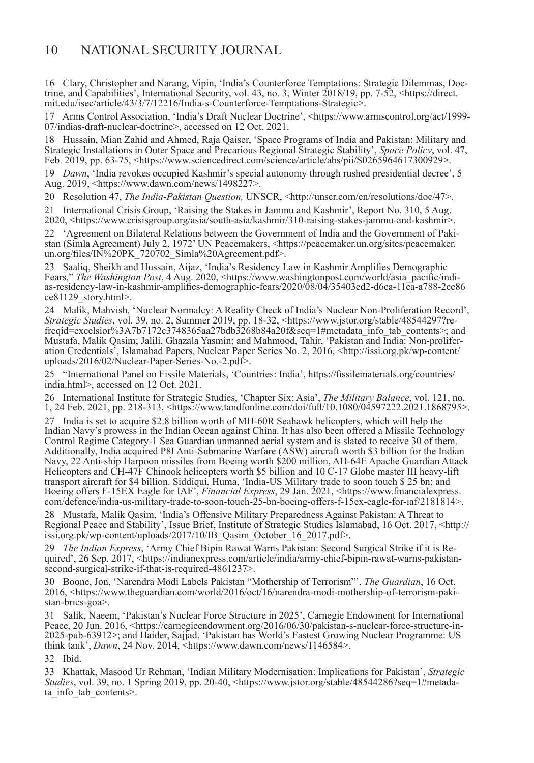16 Clary, Christopher and Narang, Vipin, 'India's Counterforce Temptations: Strategic Dilemmas, Doctrine, and Capabilities', International Security, vol. 43, no. 3, Winter 2018/19, pp. 7-52, <https://direct. mit.edu/isec/article/43/3/7/12216/India-s-Counterforce-Temptations-Strategic>.

17 Arms Control Association, 'India's Draft Nuclear Doctrine', <https://www.armscontrol.org/act/1999- 07/indias-draft-nuclear-doctrine>, accessed on 12 Oct. 2021.

18 Hussain, Mian Zahid and Ahmed, Raja Qaiser, 'Space Programs of India and Pakistan: Military and Strategic Installations in Outer Space and Precarious Regional Strategic Stability', *Space Policy*, vol. 47, Feb. 2019, pp. 63-75, <https://www.sciencedirect.com/science/article/abs/pii/S0265964617300929>.

19 *Dawn*, 'India revokes occupied Kashmir's special autonomy through rushed presidential decree', 5 Aug. 2019, <https://www.dawn.com/news/1498227>.

20 Resolution 47, *The India-Pakistan Question,* UNSCR, <http://unscr.com/en/resolutions/doc/47>.

21 International Crisis Group, 'Raising the Stakes in Jammu and Kashmir', Report No. 310, 5 Aug. 2020, <https://www.crisisgroup.org/asia/south-asia/kashmir/310-raising-stakes-jammu-and-kashmir>.

22 'Agreement on Bilateral Relations between the Government of India and the Government of Paki- stan (Simla Agreement) July 2, 1972' UN Peacemakers, <https://peacemaker.un.org/sites/peacemaker. un.org/files/IN%20PK 720702 Simla%20Agreement.pdf>.

23 Saaliq, Sheikh and Hussain, Aijaz, 'India's Residency Law in Kashmir Amplifies Demographic Fears," *The Washington Post*, 4 Aug. 2020, <https://www.washingtonpost.com/world/asia\_pacific/indias-residency-law-in-kashmir-amplifies-demographic-fears/2020/08/04/35403ed2-d6ca-11ea-a788-2ce86 ce81129\_story.html>.

24 Malik, Mahvish, 'Nuclear Normalcy: A Reality Check of India's Nuclear Non-Proliferation Record', *Strategic Studies*, vol. 39, no. 2, Summer 2019, pp. 18-32, <https://www.jstor.org/stable/48544297?refreqid=excelsior%3A7b7172c3748365aa27bdb3268b84a20f&seq=1#metadata\_info\_tab\_contents>; and Mustafa, Malik Qasim; Jalili, Ghazala Yasmin; and Mahmood, Tahir, 'Pakistan and India: Non-proliferation Credentials<sup>3</sup>, Islamabad Papers, Nuclear Paper Series No. 2, 2016, <http://issi.org.pk/wp-content/ uploads/2016/02/Nuclear-Paper-Series-No.-2.pdf>.

25 "International Panel on Fissile Materials, 'Countries: India', https://fissilematerials.org/countries/ india.html>, accessed on 12 Oct. 2021.

26 International Institute for Strategic Studies, 'Chapter Six: Asia', *The Military Balance*, vol. 121, no. 1, 24 Feb. 2021, pp. 218-313, <https://www.tandfonline.com/doi/full/10.1080/04597222.2021.1868795>.

27 India is set to acquire \$2.8 billion worth of MH-60R Seahawk helicopters, which will help the Indian Navy's prowess in the Indian Ocean against China. It has also been offered a Missile Technology Control Regime Category-1 Sea Guardian unmanned aerial system and is slated to receive 30 of them. Additionally, India acquired P8I Anti-Submarine Warfare (ASW) aircraft worth \$3 billion for the Indian Navy, 22 Anti-ship Harpoon missiles from Boeing worth \$200 million, AH-64E Apache Guardian Attack Helicopters and CH-47F Chinook helicopters worth \$5 billion and 10 C-17 Globe master III heavy-lift transport aircraft for \$4 billion. Siddiqui, Huma, 'India-US Military trade to soon touch \$ 25 bn; and Boeing offers F-15EX Eagle for IAF', *Financial Express*, 29 Jan. 2021, <https://www.financialexpress. com/defence/india-us-military-trade-to-soon-touch-25-bn-boeing-offers-f-15ex-eagle-for-iaf/2181814>.

28 Mustafa, Malik Qasim, 'India's Offensive Military Preparedness Against Pakistan: A Threat to Regional Peace and Stability', Issue Brief, Institute of Strategic Studies Islamabad, 16 Oct. 2017, <http:// issi.org.pk/wp-content/uploads/2017/10/IB\_Qasim\_October\_16\_2017.pdf>.

29 *The Indian Express*, 'Army Chief Bipin Rawat Warns Pakistan: Second Surgical Strike if it is Required', 26 Sep. 2017, <https://indianexpress.com/article/india/army-chief-bipin-rawat-warns-pakistansecond-surgical-strike-if-that-is-required-4861237>.

30 Boone, Jon, 'Narendra Modi Labels Pakistan "Mothership of Terrorism"', *The Guardian*, 16 Oct. 2016, <https://www.theguardian.com/world/2016/oct/16/narendra-modi-mothership-of-terrorism-pakistan-brics-goa>.

31 Salik, Naeem, 'Pakistan's Nuclear Force Structure in 2025', Carnegie Endowment for International Peace, 20 Jun. 2016, <https://carnegieendowment.org/2016/06/30/pakistan-s-nuclear-force-structure-in-2025-pub-63912>; and Haider, Sajjad, 'Pakistan has World's Fastest Growing Nuclear Programme: US think tank', *Dawn*, 24 Nov. 2014, <https://www.dawn.com/news/1146584>.

32 Ibid.

33 Khattak, Masood Ur Rehman, 'Indian Military Modernisation: Implications for Pakistan', *Strategic Studies*, vol. 39, no. 1 Spring 2019, pp. 20-40, <https://www.jstor.org/stable/48544286?seq=1#metadata info tab contents>.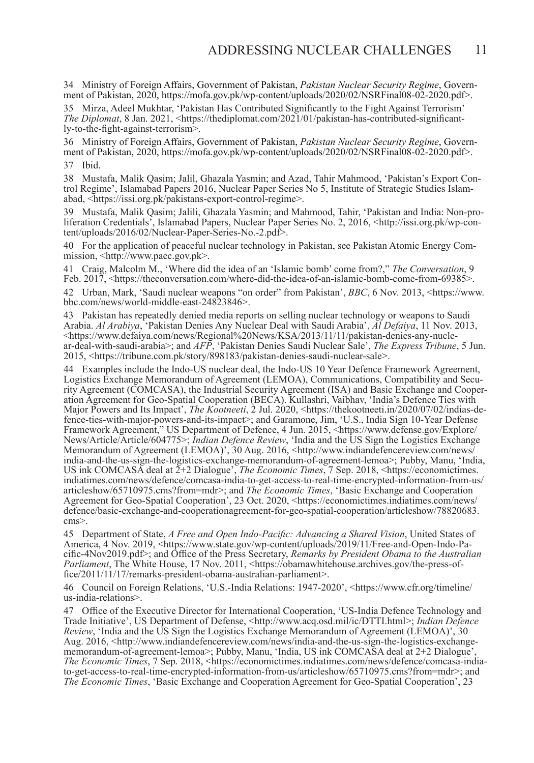34 Ministry of Foreign Affairs, Government of Pakistan, *Pakistan Nuclear Security Regime*, Government of Pakistan, 2020, https://mofa.gov.pk/wp-content/uploads/2020/02/NSRFinal08-02-2020.pdf>.

35 Mirza, Adeel Mukhtar, 'Pakistan Has Contributed Significantly to the Fight Against Terrorism' *The Diplomat*, 8 Jan. 2021, <https://thediplomat.com/2021/01/pakistan-has-contributed-significantly-to-the-fight-against-terrorism>.

36 Ministry of Foreign Affairs, Government of Pakistan, *Pakistan Nuclear Security Regime*, Government of Pakistan, 2020, https://mofa.gov.pk/wp-content/uploads/2020/02/NSRFinal08-02-2020.pdf>. 37 Ibid.

38 Mustafa, Malik Qasim; Jalil, Ghazala Yasmin; and Azad, Tahir Mahmood, 'Pakistan's Export Control Regime', Islamabad Papers 2016, Nuclear Paper Series No 5, Institute of Strategic Studies Islamabad, <https://issi.org.pk/pakistans-export-control-regime>.

39 Mustafa, Malik Qasim; Jalili, Ghazala Yasmin; and Mahmood, Tahir, 'Pakistan and India: Non-proliferation Credentials', Islamabad Papers, Nuclear Paper Series No. 2, 2016, <http://issi.org.pk/wp-content/uploads/2016/02/Nuclear-Paper-Series-No.-2.pdf>.

40 For the application of peaceful nuclear technology in Pakistan, see Pakistan Atomic Energy Com- mission, <http://www.paec.gov.pk>.

41 Craig, Malcolm M., 'Where did the idea of an 'Islamic bomb' come from?," *The Conversation*, 9 Feb. 2017, <https://theconversation.com/where-did-the-idea-of-an-islamic-bomb-come-from-69385>.

42 Urban, Mark, 'Saudi nuclear weapons "on order" from Pakistan', *BBC*, 6 Nov. 2013, <https://www. bbc.com/news/world-middle-east-24823846>.

43 Pakistan has repeatedly denied media reports on selling nuclear technology or weapons to Saudi Arabia. *Al Arabiya*, 'Pakistan Denies Any Nuclear Deal with Saudi Arabia', *Al Defaiya*, 11 Nov. 2013, ar-deal-with-saudi-arabia>; and *AFP*, 'Pakistan Denies Saudi Nuclear Sale', *The Express Tribune*, 5 Jun. 2015, <https://tribune.com.pk/story/898183/pakistan-denies-saudi-nuclear-sale>.

44 Examples include the Indo-US nuclear deal, the Indo-US 10 Year Defence Framework Agreement, Logistics Exchange Memorandum of Agreement (LEMOA), Communications, Compatibility and Security Agreement (COMCASA), the Industrial Security Agreement (ISA) and Basic Exchange and Cooperation Agreement for Geo-Spatial Cooperation (BECA). Kullashri, Vaibhav, 'India's Defence Ties with Major Powers and Its Impact' fence-ties-with-major-powers-and-its-impact>; and Garamone, Jim, 'U.S., India Sign 10-Year Defense Framework Agreement," US Department of Defence, 4 Jun. 2015, <https://www.defense.gov/Explore/ News/Article/Article/604775>; *Indian Defence Review*, 'India and the US Sign the Logistics Exchange Memorandum of Agreement (LEMOA)', 30 Aug. 2016, <http://www.indiandefencereview.com/news/ india-and-the-us-sign-the-logistics-exchange-memorandum-of-agreement-lemoa>; Pubby, Manu, 'India, US ink COMCASA deal at 2+2 Dialogue', *The Economic Times*, 7 Sep. 2018, <https://economictimes. indiatimes.com/news/defence/comcasa-india-to-get-access-to-real-time-encrypted-information-from-us/ articleshow/65710975.cms?from=mdr>; and *The Economic Times*, 'Basic Exchange and Cooperation Agreement for Geo-Spatial Cooperation', 23 Oct. 2020, <https://economictimes.indiatimes.com/news/ defence/basic-exchange-and-cooperationagreement-for-geo-spatial-cooperation/articleshow/78820683. cms>.

45 Department of State, *A Free and Open Indo-Pacific: Advancing a Shared Vision*, United States of America, 4 Nov. 2019, <https://www.state.gov/wp-content/uploads/2019/11/Free-and-Open-Indo-Pacific-4Nov2019.pdf>; and Office of the Press Secretary, *Remarks by President Obama to the Australian Parliament*, The White House, 17 Nov. 2011, <https://obamawhitehouse.archives.gov/the-press-office/2011/11/17/remarks-president-obama-australian-parliament>.

46 Council on Foreign Relations, 'U.S.-India Relations: 1947-2020', <https://www.cfr.org/timeline/ us-india-relations>.

47 Office of the Executive Director for International Cooperation, 'US-India Defence Technology and Trade Initiative', US Department of Defense, <http://www.acq.osd.mil/ic/DTTI.html>; *Indian Defence Review*, 'India and the US Sign the Logistics Exchange Memorandum of Agreement (LEMOA)', 30 Aug. 2016, <http://www.indiandefencereview.com/news/india-and-the-us-sign-the-logistics-exchangememorandum-of-agreement-lemoa>; Pubby, Manu, 'India, US ink COMCASA deal at 2+2 Dialogue', *The Economic Times*, 7 Sep. 2018, <https://economictimes.indiatimes.com/news/defence/comcasa-indiato-get-access-to-real-time-encrypted-information-from-us/articleshow/65710975.cms?from=mdr>; and *The Economic Times*, 'Basic Exchange and Cooperation Agreement for Geo-Spatial Cooperation', 23